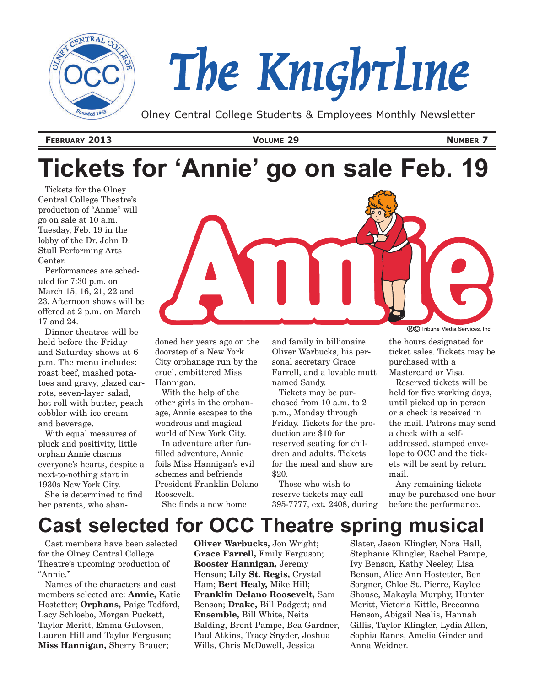

# *The Knightline*

Olney Central College Students & Employees Monthly Newsletter

**February 2013 Volume 29 Number 7**

# **Tickets for 'Annie' go on sale Feb. 19**

Tickets for the Olney Central College Theatre's production of "Annie" will go on sale at 10 a.m. Tuesday, Feb. 19 in the lobby of the Dr. John D. Stull Performing Arts Center.

Performances are scheduled for 7:30 p.m. on March 15, 16, 21, 22 and 23. Afternoon shows will be offered at 2 p.m. on March 17 and 24.

Dinner theatres will be held before the Friday and Saturday shows at 6 p.m. The menu includes: roast beef, mashed potatoes and gravy, glazed carrots, seven-layer salad, hot roll with butter, peach cobbler with ice cream and beverage.

With equal measures of pluck and positivity, little orphan Annie charms everyone's hearts, despite a next-to-nothing start in 1930s New York City.

She is determined to find her parents, who aban-



doned her years ago on the doorstep of a New York City orphanage run by the cruel, embittered Miss Hannigan.

With the help of the other girls in the orphanage, Annie escapes to the wondrous and magical world of New York City.

In adventure after funfilled adventure, Annie foils Miss Hannigan's evil schemes and befriends President Franklin Delano Roosevelt.

She finds a new home

and family in billionaire Oliver Warbucks, his personal secretary Grace Farrell, and a lovable mutt named Sandy.

Tickets may be purchased from 10 a.m. to 2 p.m., Monday through Friday. Tickets for the production are \$10 for reserved seating for children and adults. Tickets for the meal and show are \$20.

Those who wish to reserve tickets may call 395-7777, ext. 2408, during **RO** Tribune Media Services, Inc.

the hours designated for ticket sales. Tickets may be purchased with a Mastercard or Visa.

Reserved tickets will be held for five working days, until picked up in person or a check is received in the mail. Patrons may send a check with a selfaddressed, stamped envelope to OCC and the tickets will be sent by return mail.

Any remaining tickets may be purchased one hour before the performance.

## **Cast selected for OCC Theatre spring musical**

Cast members have been selected for the Olney Central College Theatre's upcoming production of "Annie."

Names of the characters and cast members selected are: **Annie,** Katie Hostetter; **Orphans,** Paige Tedford, Lacy Schloebo, Morgan Puckett, Taylor Meritt, Emma Gulovsen, Lauren Hill and Taylor Ferguson; **Miss Hannigan,** Sherry Brauer;

**Oliver Warbucks,** Jon Wright; **Grace Farrell,** Emily Ferguson; **Rooster Hannigan,** Jeremy Henson; **Lily St. Regis,** Crystal Ham; **Bert Healy,** Mike Hill; **Franklin Delano Roosevelt,** Sam Benson; **Drake,** Bill Padgett; and **Ensemble,** Bill White, Neita Balding, Brent Pampe, Bea Gardner, Paul Atkins, Tracy Snyder, Joshua Wills, Chris McDowell, Jessica

Slater, Jason Klingler, Nora Hall, Stephanie Klingler, Rachel Pampe, Ivy Benson, Kathy Neeley, Lisa Benson, Alice Ann Hostetter, Ben Sorgner, Chloe St. Pierre, Kaylee Shouse, Makayla Murphy, Hunter Meritt, Victoria Kittle, Breeanna Henson, Abigail Nealis, Hannah Gillis, Taylor Klingler, Lydia Allen, Sophia Ranes, Amelia Ginder and Anna Weidner.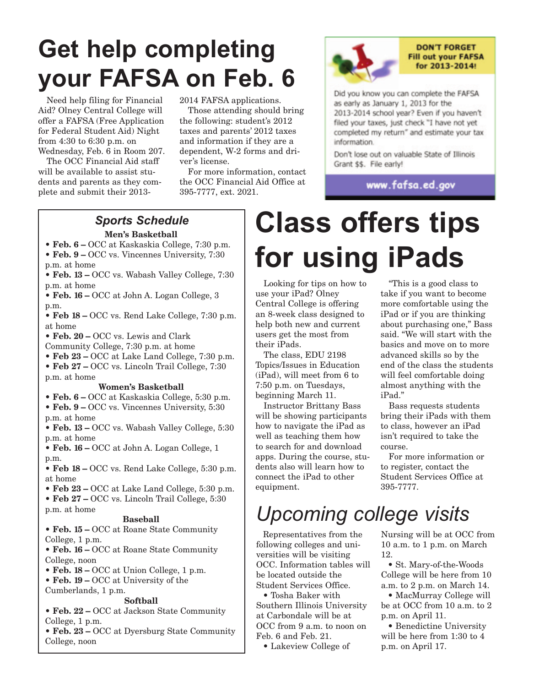# **Get help completing your FAFSA on Feb. 6**

Need help filing for Financial Aid? Olney Central College will offer a FAFSA (Free Application for Federal Student Aid) Night from 4:30 to 6:30 p.m. on Wednesday, Feb. 6 in Room 207.

The OCC Financial Aid staff will be available to assist students and parents as they complete and submit their 20132014 FAFSA applications.

Those attending should bring the following: student's 2012 taxes and parents' 2012 taxes and information if they are a dependent, W-2 forms and driver's license.

For more information, contact the OCC Financial Aid Office at 395-7777, ext. 2021.



#### **DON'T FORGET Fill out your FAFSA** for 2013-2014!

Did you know you can complete the FAFSA as early as January 1, 2013 for the 2013-2014 school year? Even if you haven't filed your taxes, just check "I have not yet completed my return" and estimate your tax information.

Don't lose out on valuable State of Illinois Grant \$\$. File early!

www.fafsa.ed.gov

#### **Men's Basketball** *Sports Schedule*

- **Feb. 6** OCC at Kaskaskia College, 7:30 p.m.
- **Feb. 9** OCC vs. Vincennes University, 7:30 p.m. at home
- **Feb. 13** OCC vs. Wabash Valley College, 7:30 p.m. at home

**• Feb. 16 –** OCC at John A. Logan College, 3 p.m.

**• Feb 18 –** OCC vs. Rend Lake College, 7:30 p.m. at home

**• Feb. 20 –** OCC vs. Lewis and Clark

Community College, 7:30 p.m. at home

**• Feb 23 –** OCC at Lake Land College, 7:30 p.m.

**• Feb 27 –** OCC vs. Lincoln Trail College, 7:30

p.m. at home

#### **Women's Basketball**

**• Feb. 6 –** OCC at Kaskaskia College, 5:30 p.m. **• Feb. 9 –** OCC vs. Vincennes University, 5:30 p.m. at home

**• Feb. 13 –** OCC vs. Wabash Valley College, 5:30 p.m. at home

**• Feb. 16 –** OCC at John A. Logan College, 1 p.m.

**• Feb 18 –** OCC vs. Rend Lake College, 5:30 p.m. at home

**• Feb 23 –** OCC at Lake Land College, 5:30 p.m.

**• Feb 27 –** OCC vs. Lincoln Trail College, 5:30 p.m. at home

#### **Baseball**

**• Feb. 15 –** OCC at Roane State Community College, 1 p.m.

**• Feb. 16 –** OCC at Roane State Community College, noon

- **Feb. 18** OCC at Union College, 1 p.m.
- **Feb. 19** OCC at University of the

Cumberlands, 1 p.m.

#### **Softball**

**• Feb. 22 –** OCC at Jackson State Community College, 1 p.m.

**• Feb. 23 –** OCC at Dyersburg State Community College, noon

# **Class offers tips for using iPads**

Looking for tips on how to use your iPad? Olney Central College is offering an 8-week class designed to help both new and current users get the most from their iPads.

The class, EDU 2198 Topics/Issues in Education (iPad), will meet from 6 to 7:50 p.m. on Tuesdays, beginning March 11.

Instructor Brittany Bass will be showing participants how to navigate the iPad as well as teaching them how to search for and download apps. During the course, students also will learn how to connect the iPad to other equipment.

"This is a good class to take if you want to become more comfortable using the iPad or if you are thinking about purchasing one," Bass said. "We will start with the basics and move on to more advanced skills so by the end of the class the students will feel comfortable doing almost anything with the iPad."

Bass requests students bring their iPads with them to class, however an iPad isn't required to take the course.

For more information or to register, contact the Student Services Office at 395-7777.

# *Upcoming college visits*

Representatives from the following colleges and universities will be visiting OCC. Information tables will be located outside the Student Services Office.

• Tosha Baker with Southern Illinois University at Carbondale will be at OCC from 9 a.m. to noon on Feb. 6 and Feb. 21.

• Lakeview College of

Nursing will be at OCC from 10 a.m. to 1 p.m. on March 12.

• St. Mary-of-the-Woods College will be here from 10 a.m. to 2 p.m. on March 14.

• MacMurray College will be at OCC from 10 a.m. to 2 p.m. on April 11.

• Benedictine University will be here from 1:30 to 4 p.m. on April 17.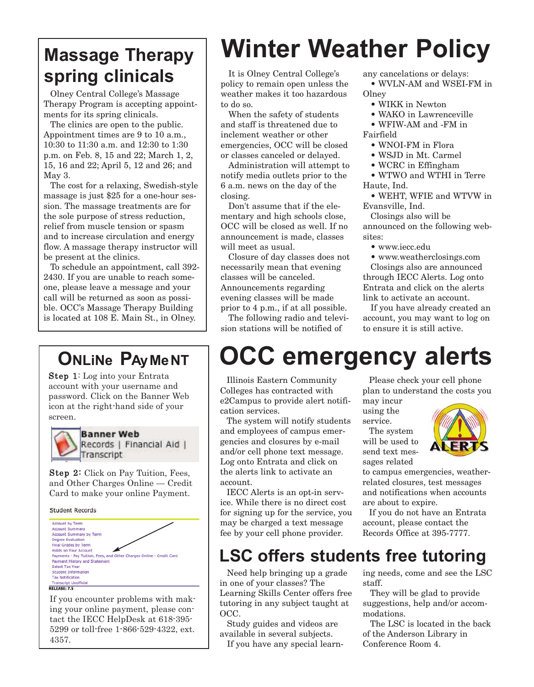## **Massage Therapy spring clinicals**

Olney Central College's Massage Therapy Program is accepting appointments for its spring clinicals.

The clinics are open to the public. Appointment times are 9 to 10 a.m., 10:30 to 11:30 a.m. and 12:30 to 1:30 p.m. on Feb. 8, 15 and 22; March 1, 2, 15, 16 and 22; April 5, 12 and 26; and May 3.

The cost for a relaxing, Swedish-style massage is just \$25 for a one-hour session. The massage treatments are for the sole purpose of stress reduction, relief from muscle tension or spasm and to increase circulation and energy flow. A massage therapy instructor will be present at the clinics.

To schedule an appointment, call 392- 2430. If you are unable to reach someone, please leave a message and your call will be returned as soon as possible. OCC's Massage Therapy Building is located at 108 E. Main St., in Olney.

### **ONLiNe PAyMeNT**

Step 1: Log into your Entrata account with your username and password. Click on the Banner Web icon at the right-hand side of your screen.



**Banner Web** Records | Financial Aid | Transcript

Step 2: Click on Pay Tuition, Fees, and Other Charges Online — Credit Card to make your online Payment.

Student Records



If you encounter problems with making your online payment, please contact the IECC HelpDesk at 618-395- 5299 or toll-free 1-866-529-4322, ext. 4357.

# **Winter Weather Policy**

It is Olney Central College's policy to remain open unless the weather makes it too hazardous to do so.

When the safety of students and staff is threatened due to inclement weather or other emergencies, OCC will be closed or classes canceled or delayed.

Administration will attempt to notify media outlets prior to the 6 a.m. news on the day of the closing.

Don't assume that if the elementary and high schools close, OCC will be closed as well. If no announcement is made, classes will meet as usual.

Closure of day classes does not necessarily mean that evening classes will be canceled. Announcements regarding evening classes will be made prior to 4 p.m., if at all possible.

The following radio and television stations will be notified of

any cancelations or delays: • WVLN-AM and WSEI-FM in

#### Olney

- WIKK in Newton
- WAKO in Lawrenceville
- WFIW-AM and -FM in Fairfield
	- WNOI-FM in Flora
	- WSJD in Mt. Carmel
	- WCRC in Effingham

• WTWO and WTHI in Terre Haute, Ind.

• WEHT, WFIE and WTVW in Evansville, Ind.

Closings also will be announced on the following websites:

- www.iecc.edu
- www.weatherclosings.com

Closings also are announced through IECC Alerts. Log onto Entrata and click on the alerts link to activate an account.

If you have already created an account, you may want to log on to ensure it is still active.

# **OCC emergency alerts**

Illinois Eastern Community Colleges has contracted with e2Campus to provide alert notification services.

The system will notify students and employees of campus emergencies and closures by e-mail and/or cell phone text message. Log onto Entrata and click on the alerts link to activate an account.

IECC Alerts is an opt-in service. While there is no direct cost for signing up for the service, you may be charged a text message fee by your cell phone provider.

Please check your cell phone plan to understand the costs you

may incur using the service.

The system will be used to send text messages related



to campus emergencies, weatherrelated closures, test messages and notifications when accounts are about to expire.

If you do not have an Entrata account, please contact the Records Office at 395-7777.

### **LSC offers students free tutoring**

Need help bringing up a grade in one of your classes? The Learning Skills Center offers free tutoring in any subject taught at OCC.

Study guides and videos are available in several subjects. If you have any special learning needs, come and see the LSC staff.

They will be glad to provide suggestions, help and/or accommodations.

The LSC is located in the back of the Anderson Library in Conference Room 4.